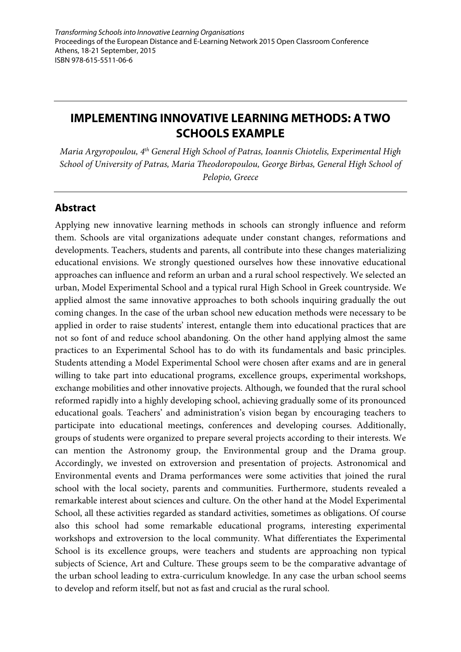# **IMPLEMENTING INNOVATIVE LEARNING METHODS: A TWO SCHOOLS EXAMPLE**

*Maria Argyropoulou, 4th General High School of Patras, Ioannis Chiotelis, Experimental High School of University of Patras, Maria Theodoropoulou, George Birbas, General High School of Pelopio, Greece*

# **Abstract**

Applying new innovative learning methods in schools can strongly influence and reform them. Schools are vital organizations adequate under constant changes, reformations and developments. Teachers, students and parents, all contribute into these changes materializing educational envisions. We strongly questioned ourselves how these innovative educational approaches can influence and reform an urban and a rural school respectively. We selected an urban, Model Experimental School and a typical rural High School in Greek countryside. We applied almost the same innovative approaches to both schools inquiring gradually the out coming changes. In the case of the urban school new education methods were necessary to be applied in order to raise students' interest, entangle them into educational practices that are not so font of and reduce school abandoning. On the other hand applying almost the same practices to an Experimental School has to do with its fundamentals and basic principles. Students attending a Model Experimental School were chosen after exams and are in general willing to take part into educational programs, excellence groups, experimental workshops, exchange mobilities and other innovative projects. Although, we founded that the rural school reformed rapidly into a highly developing school, achieving gradually some of its pronounced educational goals. Teachers' and administration's vision began by encouraging teachers to participate into educational meetings, conferences and developing courses. Additionally, groups of students were organized to prepare several projects according to their interests. We can mention the Astronomy group, the Environmental group and the Drama group. Accordingly, we invested on extroversion and presentation of projects. Astronomical and Environmental events and Drama performances were some activities that joined the rural school with the local society, parents and communities. Furthermore, students revealed a remarkable interest about sciences and culture. On the other hand at the Model Experimental School, all these activities regarded as standard activities, sometimes as obligations. Of course also this school had some remarkable educational programs, interesting experimental workshops and extroversion to the local community. What differentiates the Experimental School is its excellence groups, were teachers and students are approaching non typical subjects of Science, Art and Culture. These groups seem to be the comparative advantage of the urban school leading to extra-curriculum knowledge. In any case the urban school seems to develop and reform itself, but not as fast and crucial as the rural school.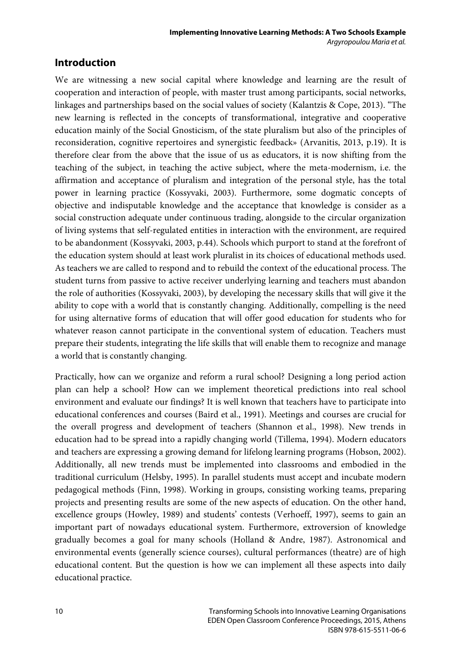### **Introduction**

We are witnessing a new social capital where knowledge and learning are the result of cooperation and interaction of people, with master trust among participants, social networks, linkages and partnerships based on the social values of society (Kalantzis & Cope, 2013). "The new learning is reflected in the concepts of transformational, integrative and cooperative education mainly of the Social Gnosticism, of the state pluralism but also of the principles of reconsideration, cognitive repertoires and synergistic feedback» (Arvanitis, 2013, p.19). It is therefore clear from the above that the issue of us as educators, it is now shifting from the teaching of the subject, in teaching the active subject, where the meta-modernism, i.e. the affirmation and acceptance of pluralism and integration of the personal style, has the total power in learning practice (Kossyvaki, 2003). Furthermore, some dogmatic concepts of objective and indisputable knowledge and the acceptance that knowledge is consider as a social construction adequate under continuous trading, alongside to the circular organization of living systems that self-regulated entities in interaction with the environment, are required to be abandonment (Kossyvaki, 2003, p.44). Schools which purport to stand at the forefront of the education system should at least work pluralist in its choices of educational methods used. As teachers we are called to respond and to rebuild the context of the educational process. The student turns from passive to active receiver underlying learning and teachers must abandon the role of authorities (Kossyvaki, 2003), by developing the necessary skills that will give it the ability to cope with a world that is constantly changing. Additionally, compelling is the need for using alternative forms of education that will offer good education for students who for whatever reason cannot participate in the conventional system of education. Teachers must prepare their students, integrating the life skills that will enable them to recognize and manage a world that is constantly changing.

Practically, how can we organize and reform a rural school? Designing a long period action plan can help a school? How can we implement theoretical predictions into real school environment and evaluate our findings? It is well known that teachers have to participate into educational conferences and courses (Baird et al., 1991). Meetings and courses are crucial for the overall progress and development of teachers (Shannon et al., 1998). New trends in education had to be spread into a rapidly changing world (Tillema, 1994). Modern educators and teachers are expressing a growing demand for lifelong learning programs (Hobson, 2002). Additionally, all new trends must be implemented into classrooms and embodied in the traditional curriculum (Helsby, 1995). In parallel students must accept and incubate modern pedagogical methods (Finn, 1998). Working in groups, consisting working teams, preparing projects and presenting results are some of the new aspects of education. On the other hand, excellence groups (Howley, 1989) and students' contests (Verhoeff, 1997), seems to gain an important part of nowadays educational system. Furthermore, extroversion of knowledge gradually becomes a goal for many schools (Holland & Andre, 1987). Astronomical and environmental events (generally science courses), cultural performances (theatre) are of high educational content. But the question is how we can implement all these aspects into daily educational practice.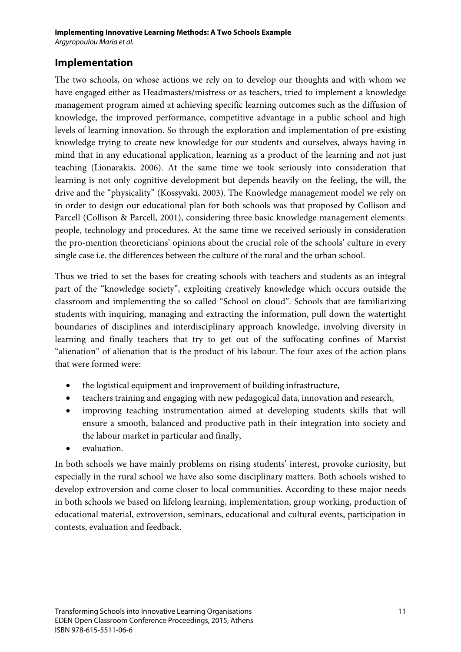#### **Implementation**

The two schools, on whose actions we rely on to develop our thoughts and with whom we have engaged either as Headmasters/mistress or as teachers, tried to implement a knowledge management program aimed at achieving specific learning outcomes such as the diffusion of knowledge, the improved performance, competitive advantage in a public school and high levels of learning innovation. So through the exploration and implementation of pre-existing knowledge trying to create new knowledge for our students and ourselves, always having in mind that in any educational application, learning as a product of the learning and not just teaching (Lionarakis, 2006). At the same time we took seriously into consideration that learning is not only cognitive development but depends heavily on the feeling, the will, the drive and the "physicality" (Kossyvaki, 2003). The Knowledge management model we rely on in order to design our educational plan for both schools was that proposed by Collison and Parcell (Collison & Parcell, 2001), considering three basic knowledge management elements: people, technology and procedures. At the same time we received seriously in consideration the pro-mention theoreticians' opinions about the crucial role of the schools' culture in every single case i.e. the differences between the culture of the rural and the urban school.

Thus we tried to set the bases for creating schools with teachers and students as an integral part of the "knowledge society", exploiting creatively knowledge which occurs outside the classroom and implementing the so called "School on cloud". Schools that are familiarizing students with inquiring, managing and extracting the information, pull down the watertight boundaries of disciplines and interdisciplinary approach knowledge, involving diversity in learning and finally teachers that try to get out of the suffocating confines of Marxist "alienation" of alienation that is the product of his labour. The four axes of the action plans that were formed were:

- the logistical equipment and improvement of building infrastructure,
- teachers training and engaging with new pedagogical data, innovation and research,
- improving teaching instrumentation aimed at developing students skills that will ensure a smooth, balanced and productive path in their integration into society and the labour market in particular and finally,
- evaluation.

In both schools we have mainly problems on rising students' interest, provoke curiosity, but especially in the rural school we have also some disciplinary matters. Both schools wished to develop extroversion and come closer to local communities. According to these major needs in both schools we based on lifelong learning, implementation, group working, production of educational material, extroversion, seminars, educational and cultural events, participation in contests, evaluation and feedback.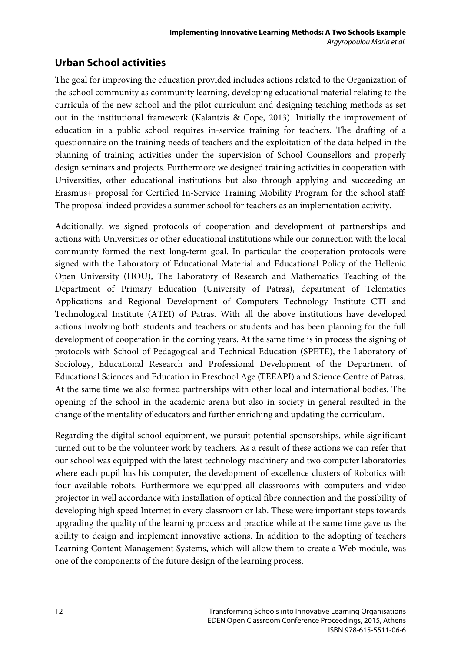# **Urban School activities**

The goal for improving the education provided includes actions related to the Organization of the school community as community learning, developing educational material relating to the curricula of the new school and the pilot curriculum and designing teaching methods as set out in the institutional framework (Kalantzis & Cope, 2013). Initially the improvement of education in a public school requires in-service training for teachers. The drafting of a questionnaire on the training needs of teachers and the exploitation of the data helped in the planning of training activities under the supervision of School Counsellors and properly design seminars and projects. Furthermore we designed training activities in cooperation with Universities, other educational institutions but also through applying and succeeding an Erasmus+ proposal for Certified In-Service Training Mobility Program for the school staff: The proposal indeed provides a summer school for teachers as an implementation activity.

Additionally, we signed protocols of cooperation and development of partnerships and actions with Universities or other educational institutions while our connection with the local community formed the next long-term goal. In particular the cooperation protocols were signed with the Laboratory of Educational Material and Educational Policy of the Hellenic Open University (HOU), The Laboratory of Research and Mathematics Teaching of the Department of Primary Education (University of Patras), department of Telematics Applications and Regional Development of Computers Technology Institute CTI and Technological Institute (ATEI) of Patras. With all the above institutions have developed actions involving both students and teachers or students and has been planning for the full development of cooperation in the coming years. At the same time is in process the signing of protocols with School of Pedagogical and Technical Education (SPETE), the Laboratory of Sociology, Educational Research and Professional Development of the Department of Educational Sciences and Education in Preschool Age (ΤΕΕΑPI) and Science Centre of Patras. At the same time we also formed partnerships with other local and international bodies. The opening of the school in the academic arena but also in society in general resulted in the change of the mentality of educators and further enriching and updating the curriculum.

Regarding the digital school equipment, we pursuit potential sponsorships, while significant turned out to be the volunteer work by teachers. As a result of these actions we can refer that our school was equipped with the latest technology machinery and two computer laboratories where each pupil has his computer, the development of excellence clusters of Robotics with four available robots. Furthermore we equipped all classrooms with computers and video projector in well accordance with installation of optical fibre connection and the possibility of developing high speed Internet in every classroom or lab. These were important steps towards upgrading the quality of the learning process and practice while at the same time gave us the ability to design and implement innovative actions. In addition to the adopting of teachers Learning Content Management Systems, which will allow them to create a Web module, was one of the components of the future design of the learning process.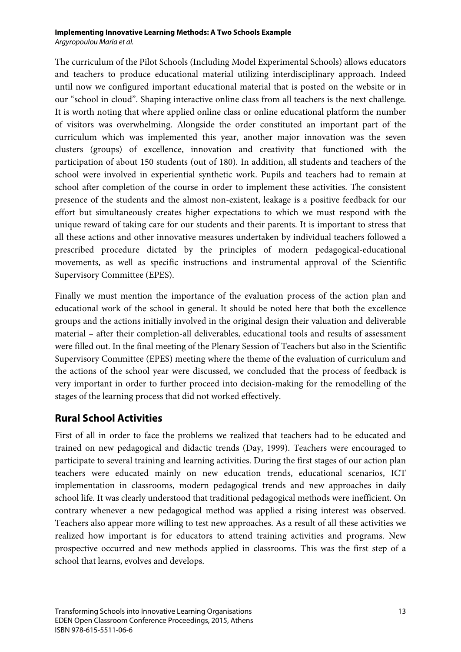#### **Implementing Innovative Learning Methods: A Two Schools Example** *Argyropoulou Maria et al.*

The curriculum of the Pilot Schools (Including Model Experimental Schools) allows educators and teachers to produce educational material utilizing interdisciplinary approach. Indeed until now we configured important educational material that is posted on the website or in our "school in cloud". Shaping interactive online class from all teachers is the next challenge. It is worth noting that where applied online class or online educational platform the number of visitors was overwhelming. Alongside the order constituted an important part of the curriculum which was implemented this year, another major innovation was the seven clusters (groups) of excellence, innovation and creativity that functioned with the participation of about 150 students (out of 180). In addition, all students and teachers of the school were involved in experiential synthetic work. Pupils and teachers had to remain at school after completion of the course in order to implement these activities. The consistent presence of the students and the almost non-existent, leakage is a positive feedback for our effort but simultaneously creates higher expectations to which we must respond with the unique reward of taking care for our students and their parents. It is important to stress that all these actions and other innovative measures undertaken by individual teachers followed a prescribed procedure dictated by the principles of modern pedagogical-educational movements, as well as specific instructions and instrumental approval of the Scientific Supervisory Committee (EPES).

Finally we must mention the importance of the evaluation process of the action plan and educational work of the school in general. It should be noted here that both the excellence groups and the actions initially involved in the original design their valuation and deliverable material – after their completion-all deliverables, educational tools and results of assessment were filled out. In the final meeting of the Plenary Session of Teachers but also in the Scientific Supervisory Committee (EPES) meeting where the theme of the evaluation of curriculum and the actions of the school year were discussed, we concluded that the process of feedback is very important in order to further proceed into decision-making for the remodelling of the stages of the learning process that did not worked effectively.

#### **Rural School Activities**

First of all in order to face the problems we realized that teachers had to be educated and trained on new pedagogical and didactic trends (Day, 1999). Teachers were encouraged to participate to several training and learning activities. During the first stages of our action plan teachers were educated mainly on new education trends, educational scenarios, ICT implementation in classrooms, modern pedagogical trends and new approaches in daily school life. It was clearly understood that traditional pedagogical methods were inefficient. On contrary whenever a new pedagogical method was applied a rising interest was observed. Teachers also appear more willing to test new approaches. As a result of all these activities we realized how important is for educators to attend training activities and programs. New prospective occurred and new methods applied in classrooms. This was the first step of a school that learns, evolves and develops.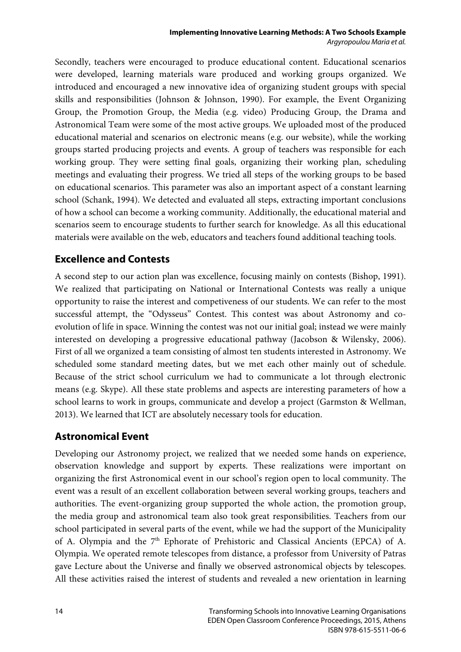Secondly, teachers were encouraged to produce educational content. Educational scenarios were developed, learning materials ware produced and working groups organized. We introduced and encouraged a new innovative idea of organizing student groups with special skills and responsibilities (Johnson & Johnson, 1990). For example, the Event Organizing Group, the Promotion Group, the Media (e.g. video) Producing Group, the Drama and Astronomical Team were some of the most active groups. We uploaded most of the produced educational material and scenarios on electronic means (e.g. our website), while the working groups started producing projects and events. A group of teachers was responsible for each working group. They were setting final goals, organizing their working plan, scheduling meetings and evaluating their progress. We tried all steps of the working groups to be based on educational scenarios. This parameter was also an important aspect of a constant learning school (Schank, 1994). We detected and evaluated all steps, extracting important conclusions of how a school can become a working community. Additionally, the educational material and scenarios seem to encourage students to further search for knowledge. As all this educational materials were available on the web, educators and teachers found additional teaching tools.

#### **Excellence and Contests**

A second step to our action plan was excellence, focusing mainly on contests (Bishop, 1991). We realized that participating on National or International Contests was really a unique opportunity to raise the interest and competiveness of our students. We can refer to the most successful attempt, the "Odysseus" Contest. This contest was about Astronomy and coevolution of life in space. Winning the contest was not our initial goal; instead we were mainly interested on developing a progressive educational pathway (Jacobson & Wilensky, 2006). First of all we organized a team consisting of almost ten students interested in Astronomy. We scheduled some standard meeting dates, but we met each other mainly out of schedule. Because of the strict school curriculum we had to communicate a lot through electronic means (e.g. Skype). All these state problems and aspects are interesting parameters of how a school learns to work in groups, communicate and develop a project (Garmston & Wellman, 2013). We learned that ICT are absolutely necessary tools for education.

#### **Astronomical Event**

Developing our Astronomy project, we realized that we needed some hands on experience, observation knowledge and support by experts. These realizations were important on organizing the first Astronomical event in our school's region open to local community. The event was a result of an excellent collaboration between several working groups, teachers and authorities. The event-organizing group supported the whole action, the promotion group, the media group and astronomical team also took great responsibilities. Teachers from our school participated in several parts of the event, while we had the support of the Municipality of A. Olympia and the 7<sup>th</sup> Ephorate of Prehistoric and Classical Ancients (EPCA) of A. Olympia. We operated remote telescopes from distance, a professor from University of Patras gave Lecture about the Universe and finally we observed astronomical objects by telescopes. All these activities raised the interest of students and revealed a new orientation in learning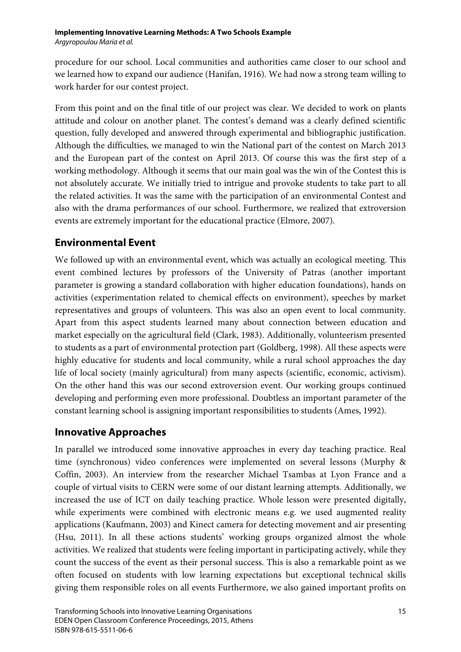procedure for our school. Local communities and authorities came closer to our school and we learned how to expand our audience (Hanifan, 1916). We had now a strong team willing to work harder for our contest project.

From this point and on the final title of our project was clear. We decided to work on plants attitude and colour on another planet. The contest's demand was a clearly defined scientific question, fully developed and answered through experimental and bibliographic justification. Although the difficulties, we managed to win the National part of the contest on March 2013 and the European part of the contest on April 2013. Of course this was the first step of a working methodology. Although it seems that our main goal was the win of the Contest this is not absolutely accurate. We initially tried to intrigue and provoke students to take part to all the related activities. It was the same with the participation of an environmental Contest and also with the drama performances of our school. Furthermore, we realized that extroversion events are extremely important for the educational practice (Elmore, 2007).

# **Environmental Event**

We followed up with an environmental event, which was actually an ecological meeting. This event combined lectures by professors of the University of Patras (another important parameter is growing a standard collaboration with higher education foundations), hands on activities (experimentation related to chemical effects on environment), speeches by market representatives and groups of volunteers. This was also an open event to local community. Apart from this aspect students learned many about connection between education and market especially on the agricultural field (Clark, 1983). Additionally, volunteerism presented to students as a part of environmental protection part (Goldberg, 1998). All these aspects were highly educative for students and local community, while a rural school approaches the day life of local society (mainly agricultural) from many aspects (scientific, economic, activism). On the other hand this was our second extroversion event. Our working groups continued developing and performing even more professional. Doubtless an important parameter of the constant learning school is assigning important responsibilities to students (Ames, 1992).

# **Innovative Approaches**

In parallel we introduced some innovative approaches in every day teaching practice. Real time (synchronous) video conferences were implemented on several lessons (Murphy & Coffin, 2003). An interview from the researcher Michael Tsambas at Lyon France and a couple of virtual visits to CERN were some of our distant learning attempts. Additionally, we increased the use of ICT on daily teaching practice. Whole lesson were presented digitally, while experiments were combined with electronic means e.g. we used augmented reality applications (Kaufmann, 2003) and Kinect camera for detecting movement and air presenting (Hsu, 2011). In all these actions students' working groups organized almost the whole activities. We realized that students were feeling important in participating actively, while they count the success of the event as their personal success. This is also a remarkable point as we often focused on students with low learning expectations but exceptional technical skills giving them responsible roles on all events Furthermore, we also gained important profits on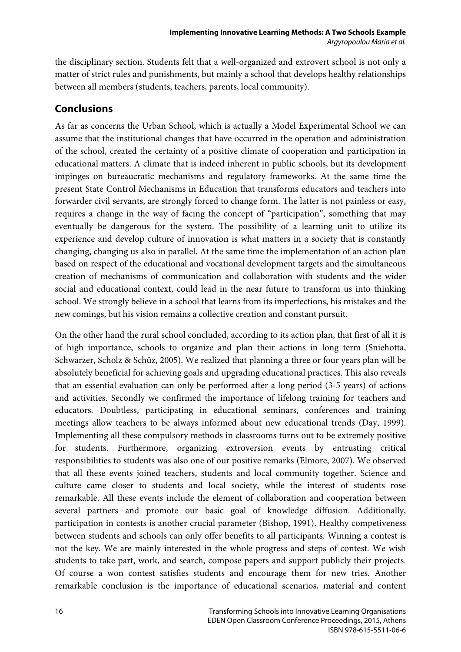the disciplinary section. Students felt that a well-organized and extrovert school is not only a matter of strict rules and punishments, but mainly a school that develops healthy relationships between all members (students, teachers, parents, local community).

# **Conclusions**

As far as concerns the Urban School, which is actually a Model Experimental School we can assume that the institutional changes that have occurred in the operation and administration of the school, created the certainty of a positive climate of cooperation and participation in educational matters. A climate that is indeed inherent in public schools, but its development impinges on bureaucratic mechanisms and regulatory frameworks. At the same time the present State Control Mechanisms in Education that transforms educators and teachers into forwarder civil servants, are strongly forced to change form. The latter is not painless or easy, requires a change in the way of facing the concept of "participation", something that may eventually be dangerous for the system. The possibility of a learning unit to utilize its experience and develop culture of innovation is what matters in a society that is constantly changing, changing us also in parallel. At the same time the implementation of an action plan based on respect of the educational and vocational development targets and the simultaneous creation of mechanisms of communication and collaboration with students and the wider social and educational context, could lead in the near future to transform us into thinking school. We strongly believe in a school that learns from its imperfections, his mistakes and the new comings, but his vision remains a collective creation and constant pursuit.

On the other hand the rural school concluded, according to its action plan, that first of all it is of high importance, schools to organize and plan their actions in long term (Sniehotta, Schwarzer, Scholz & Schüz, 2005). We realized that planning a three or four years plan will be absolutely beneficial for achieving goals and upgrading educational practices. This also reveals that an essential evaluation can only be performed after a long period (3-5 years) of actions and activities. Secondly we confirmed the importance of lifelong training for teachers and educators. Doubtless, participating in educational seminars, conferences and training meetings allow teachers to be always informed about new educational trends (Day, 1999). Implementing all these compulsory methods in classrooms turns out to be extremely positive for students. Furthermore, organizing extroversion events by entrusting critical responsibilities to students was also one of our positive remarks (Elmore, 2007). We observed that all these events joined teachers, students and local community together. Science and culture came closer to students and local society, while the interest of students rose remarkable. All these events include the element of collaboration and cooperation between several partners and promote our basic goal of knowledge diffusion. Additionally, participation in contests is another crucial parameter (Bishop, 1991). Healthy competiveness between students and schools can only offer benefits to all participants. Winning a contest is not the key. We are mainly interested in the whole progress and steps of contest. We wish students to take part, work, and search, compose papers and support publicly their projects. Of course a won contest satisfies students and encourage them for new tries. Another remarkable conclusion is the importance of educational scenarios, material and content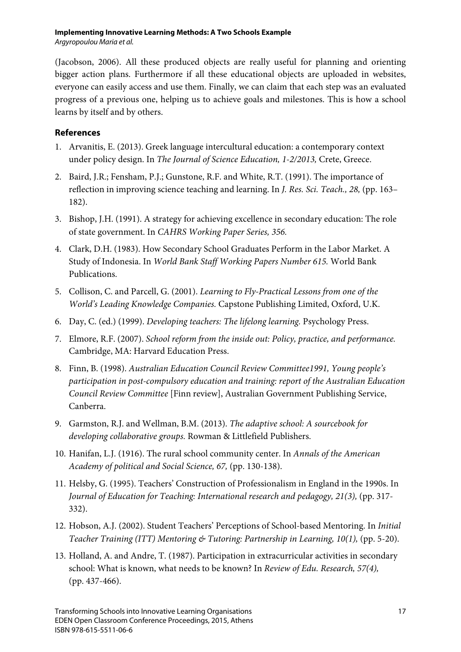(Jacobson, 2006). All these produced objects are really useful for planning and orienting bigger action plans. Furthermore if all these educational objects are uploaded in websites, everyone can easily access and use them. Finally, we can claim that each step was an evaluated progress of a previous one, helping us to achieve goals and milestones. This is how a school learns by itself and by others.

#### **References**

- 1. Arvanitis, E. (2013). Greek language intercultural education: a contemporary context under policy design. In *The Journal of Science Education, 1-2/2013,* Crete, Greece.
- 2. Baird, J.R.; Fensham, P.J.; Gunstone, R.F. and White, R.T. (1991). The importance of reflection in improving science teaching and learning. In *J. Res. Sci. Teach., 28,* (pp. 163– 182).
- 3. Bishop, J.H. (1991). A strategy for achieving excellence in secondary education: The role of state government. In *CAHRS Working Paper Series, 356.*
- 4. Clark, D.H. (1983). How Secondary School Graduates Perform in the Labor Market. A Study of Indonesia. In *World Bank Staff Working Papers Number 615.* World Bank Publications.
- 5. Collison, C. and Parcell, G. (2001). *Learning to Fly-Practical Lessons from one of the World's Leading Knowledge Companies.* Capstone Publishing Limited, Oxford, U.K.
- 6. Day, C. (ed.) (1999). *Developing teachers: The lifelong learning.* Psychology Press.
- 7. Elmore, R.F. (2007). *School reform from the inside out: Policy, practice, and performance.* Cambridge, MA: Harvard Education Press.
- 8. Finn, B. (1998). *Australian Education Council Review Committee1991, Young people's participation in post-compulsory education and training: report of the Australian Education Council Review Committee* [Finn review], Australian Government Publishing Service, Canberra.
- 9. Garmston, R.J. and Wellman, B.M. (2013). *The adaptive school: A sourcebook for developing collaborative groups.* Rowman & Littlefield Publishers.
- 10. Hanifan, L.J. (1916). The rural school community center. In *Annals of the American Academy of political and Social Science, 67,* (pp. 130-138).
- 11. Helsby, G. (1995). Teachers' Construction of Professionalism in England in the 1990s. In *Journal of Education for Teaching: International research and pedagogy, 21(3),* (pp. 317- 332).
- 12. Hobson, A.J. (2002). Student Teachers' Perceptions of School-based Mentoring. In *Initial Teacher Training (ITT) Mentoring & Tutoring: Partnership in Learning, 10(1),* (pp. 5-20).
- 13. Holland, A. and Andre, T. (1987). Participation in extracurricular activities in secondary school: What is known, what needs to be known? In *Review of Edu. Research, 57(4),* (pp. 437-466).